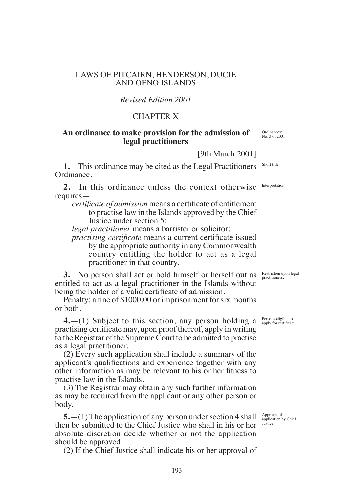## LAWS OF PITCAIRN, HENDERSON, DUCIE AND OENO ISLANDS

## *Revised Edition 2001*

## CHAPTER X

## **An ordinance to make provision for the admission of legal practitioners**

[9th March 2001]

**1.** This ordinance may be cited as the Legal Practitioners Ordinance.

**2.** In this ordinance unless the context otherwise requires—

*certificate of admission* means a certificate of entitlement to practise law in the Islands approved by the Chief Justice under section 5;

*legal practitioner* means a barrister or solicitor;

*practising certificate* means a current certificate issued by the appropriate authority in any Commonwealth country entitling the holder to act as a legal practitioner in that country.

**3.** No person shall act or hold himself or herself out as entitled to act as a legal practitioner in the Islands without being the holder of a valid certificate of admission.

Penalty: a fine of \$1000.00 or imprisonment for six months or both.

**4.**—(1) Subject to this section, any person holding a practising certificate may, upon proof thereof, apply in writing to the Registrar of the Supreme Court to be admitted to practise as a legal practitioner.

(2) Every such application shall include a summary of the applicant's qualifications and experience together with any other information as may be relevant to his or her fitness to practise law in the Islands.

(3) The Registrar may obtain any such further information as may be required from the applicant or any other person or body.

**5.**—(1) The application of any person under section 4 shall then be submitted to the Chief Justice who shall in his or her absolute discretion decide whether or not the application should be approved.

(2) If the Chief Justice shall indicate his or her approval of

Restriction upon legal practitioners.

Persons eligible to apply for certificate.

Approval of application by Chief Justice.

lnterpretation.

Short title.

Ordinances: No. 3 of 2001